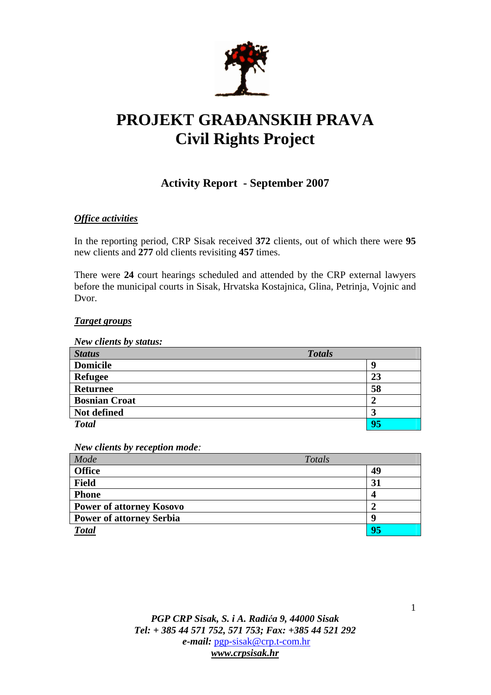

# **PROJEKT GRA**Đ**ANSKIH PRAVA Civil Rights Project**

# **Activity Report - September 2007**

## *Office activities*

In the reporting period, CRP Sisak received **372** clients, out of which there were **95**  new clients and **277** old clients revisiting **457** times.

There were **24** court hearings scheduled and attended by the CRP external lawyers before the municipal courts in Sisak, Hrvatska Kostajnica, Glina, Petrinja, Vojnic and Dvor.

### *Target groups*

| New clients by status: |               |
|------------------------|---------------|
| <b>Status</b>          | <b>Totals</b> |
| <b>Domicile</b>        | g             |
| <b>Refugee</b>         | 23            |
| <b>Returnee</b>        | 58            |
| <b>Bosnian Croat</b>   | 2             |
| Not defined            | 3             |
| <b>Total</b>           | 95            |

*New clients by reception mode:* 

| Mode                            | Totals |
|---------------------------------|--------|
| <b>Office</b>                   | 49     |
| <b>Field</b>                    | 31     |
| <b>Phone</b>                    | 4      |
| <b>Power of attorney Kosovo</b> |        |
| <b>Power of attorney Serbia</b> | q      |
| <b>Total</b>                    | 95     |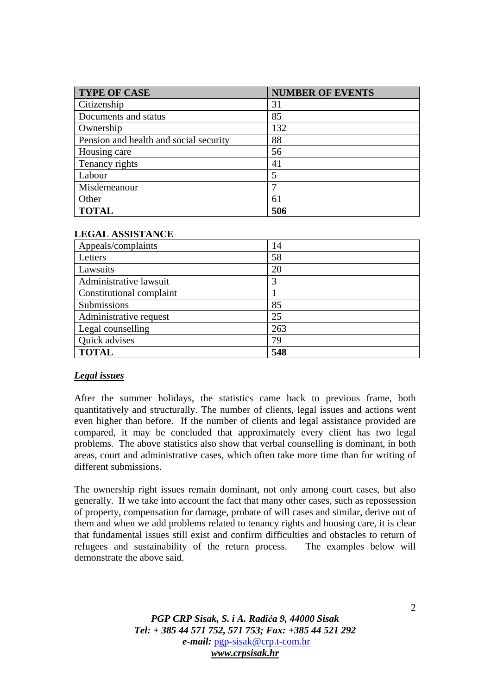| <b>TYPE OF CASE</b>                    | <b>NUMBER OF EVENTS</b> |
|----------------------------------------|-------------------------|
| Citizenship                            | 31                      |
| Documents and status                   | 85                      |
| Ownership                              | 132                     |
| Pension and health and social security | 88                      |
| Housing care                           | 56                      |
| Tenancy rights                         | 41                      |
| Labour                                 |                         |
| Misdemeanour                           |                         |
| Other                                  | 61                      |
| <b>TOTAL</b>                           | 506                     |

| <b>LEGAL ASSISTANCE</b> |  |
|-------------------------|--|
|-------------------------|--|

| Appeals/complaints       | 14  |
|--------------------------|-----|
| Letters                  | 58  |
| Lawsuits                 | 20  |
| Administrative lawsuit   | 3   |
| Constitutional complaint |     |
| Submissions              | 85  |
| Administrative request   | 25  |
| Legal counselling        | 263 |
| Quick advises            | 79  |
| <b>TOTAL</b>             | 548 |

#### *Legal issues*

After the summer holidays, the statistics came back to previous frame, both quantitatively and structurally. The number of clients, legal issues and actions went even higher than before. If the number of clients and legal assistance provided are compared, it may be concluded that approximately every client has two legal problems. The above statistics also show that verbal counselling is dominant, in both areas, court and administrative cases, which often take more time than for writing of different submissions.

The ownership right issues remain dominant, not only among court cases, but also generally. If we take into account the fact that many other cases, such as repossession of property, compensation for damage, probate of will cases and similar, derive out of them and when we add problems related to tenancy rights and housing care, it is clear that fundamental issues still exist and confirm difficulties and obstacles to return of refugees and sustainability of the return process. The examples below will demonstrate the above said.

> *PGP CRP Sisak, S. i A. Radi*ć*a 9, 44000 Sisak Tel: + 385 44 571 752, 571 753; Fax: +385 44 521 292 e-mail:* pgp-sisak@crp.t-com.hr *www.crpsisak.hr*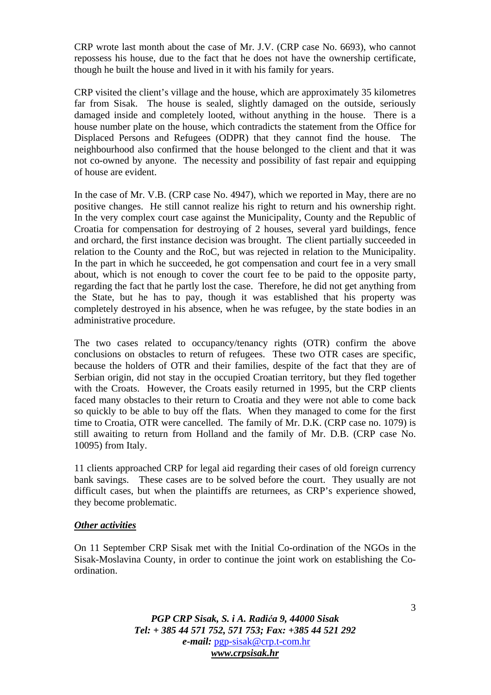CRP wrote last month about the case of Mr. J.V. (CRP case No. 6693), who cannot repossess his house, due to the fact that he does not have the ownership certificate, though he built the house and lived in it with his family for years.

CRP visited the client's village and the house, which are approximately 35 kilometres far from Sisak. The house is sealed, slightly damaged on the outside, seriously damaged inside and completely looted, without anything in the house. There is a house number plate on the house, which contradicts the statement from the Office for Displaced Persons and Refugees (ODPR) that they cannot find the house. The neighbourhood also confirmed that the house belonged to the client and that it was not co-owned by anyone. The necessity and possibility of fast repair and equipping of house are evident.

In the case of Mr. V.B. (CRP case No. 4947), which we reported in May, there are no positive changes. He still cannot realize his right to return and his ownership right. In the very complex court case against the Municipality, County and the Republic of Croatia for compensation for destroying of 2 houses, several yard buildings, fence and orchard, the first instance decision was brought. The client partially succeeded in relation to the County and the RoC, but was rejected in relation to the Municipality. In the part in which he succeeded, he got compensation and court fee in a very small about, which is not enough to cover the court fee to be paid to the opposite party, regarding the fact that he partly lost the case. Therefore, he did not get anything from the State, but he has to pay, though it was established that his property was completely destroyed in his absence, when he was refugee, by the state bodies in an administrative procedure.

The two cases related to occupancy/tenancy rights (OTR) confirm the above conclusions on obstacles to return of refugees. These two OTR cases are specific, because the holders of OTR and their families, despite of the fact that they are of Serbian origin, did not stay in the occupied Croatian territory, but they fled together with the Croats. However, the Croats easily returned in 1995, but the CRP clients faced many obstacles to their return to Croatia and they were not able to come back so quickly to be able to buy off the flats. When they managed to come for the first time to Croatia, OTR were cancelled. The family of Mr. D.K. (CRP case no. 1079) is still awaiting to return from Holland and the family of Mr. D.B. (CRP case No. 10095) from Italy.

11 clients approached CRP for legal aid regarding their cases of old foreign currency bank savings. These cases are to be solved before the court. They usually are not difficult cases, but when the plaintiffs are returnees, as CRP's experience showed, they become problematic.

#### *Other activities*

On 11 September CRP Sisak met with the Initial Co-ordination of the NGOs in the Sisak-Moslavina County, in order to continue the joint work on establishing the Coordination.

> *PGP CRP Sisak, S. i A. Radi*ć*a 9, 44000 Sisak Tel: + 385 44 571 752, 571 753; Fax: +385 44 521 292 e-mail:* pgp-sisak@crp.t-com.hr *www.crpsisak.hr*